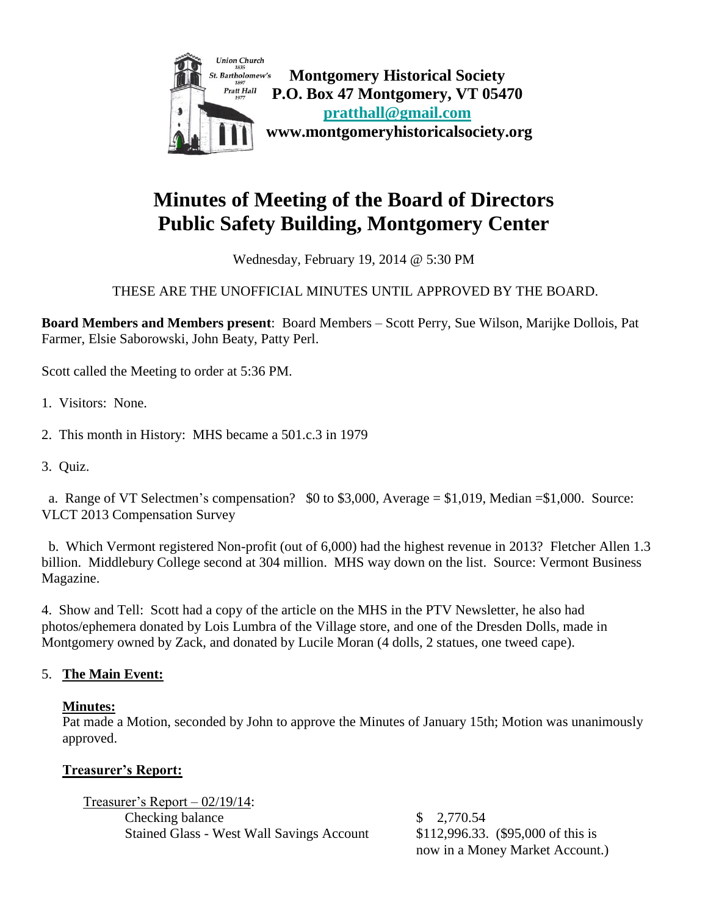

# **Minutes of Meeting of the Board of Directors Public Safety Building, Montgomery Center**

Wednesday, February 19, 2014 @ 5:30 PM

# THESE ARE THE UNOFFICIAL MINUTES UNTIL APPROVED BY THE BOARD.

**Board Members and Members present**: Board Members – Scott Perry, Sue Wilson, Marijke Dollois, Pat Farmer, Elsie Saborowski, John Beaty, Patty Perl.

Scott called the Meeting to order at 5:36 PM.

- 1. Visitors: None.
- 2. This month in History: MHS became a 501.c.3 in 1979
- 3. Quiz.

 a. Range of VT Selectmen's compensation? \$0 to \$3,000, Average = \$1,019, Median =\$1,000. Source: VLCT 2013 Compensation Survey

 b. Which Vermont registered Non-profit (out of 6,000) had the highest revenue in 2013? Fletcher Allen 1.3 billion. Middlebury College second at 304 million. MHS way down on the list. Source: Vermont Business Magazine.

4. Show and Tell: Scott had a copy of the article on the MHS in the PTV Newsletter, he also had photos/ephemera donated by Lois Lumbra of the Village store, and one of the Dresden Dolls, made in Montgomery owned by Zack, and donated by Lucile Moran (4 dolls, 2 statues, one tweed cape).

#### 5. **The Main Event:**

#### **Minutes:**

Pat made a Motion, seconded by John to approve the Minutes of January 15th; Motion was unanimously approved.

#### **Treasurer's Report:**

Treasurer's Report – 02/19/14: Checking balance \$ 2,770.54 Stained Glass - West Wall Savings Account \$112,996.33. (\$95,000 of this is

now in a Money Market Account.)